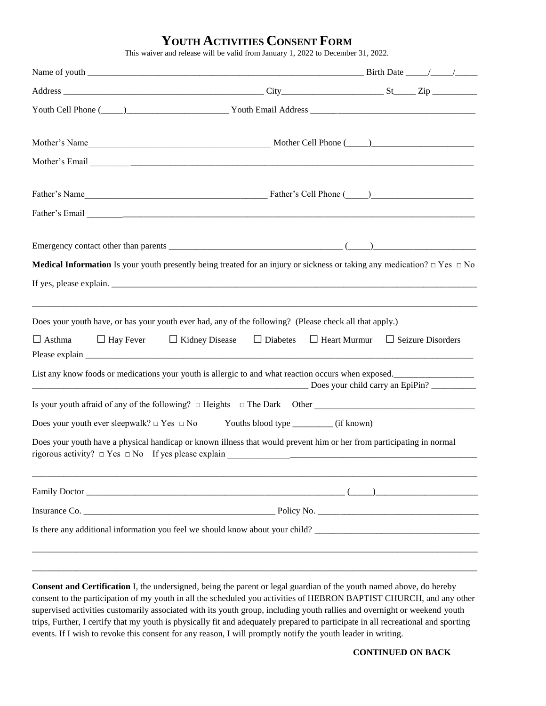## **YOUTH ACTIVITIES CONSENT FORM**

This waiver and release will be valid from January 1, 2022 to December 31, 2022.

|               | <b>Medical Information</b> Is your youth presently being treated for an injury or sickness or taking any medication? $\Box$ Yes $\Box$ No                                                                                   |  |  |
|---------------|-----------------------------------------------------------------------------------------------------------------------------------------------------------------------------------------------------------------------------|--|--|
|               |                                                                                                                                                                                                                             |  |  |
|               | Does your youth have, or has your youth ever had, any of the following? (Please check all that apply.)<br>$\Box$ Asthma $\Box$ Hay Fever $\Box$ Kidney Disease $\Box$ Diabetes $\Box$ Heart Murmur $\Box$ Seizure Disorders |  |  |
|               | List any know foods or medications your youth is allergic to and what reaction occurs when exposed.<br>Does your child carry an EpiPin?                                                                                     |  |  |
|               |                                                                                                                                                                                                                             |  |  |
|               | Does your youth ever sleepwalk? $\Box$ Yes $\Box$ No Youths blood type _________ (if known)                                                                                                                                 |  |  |
|               | Does your youth have a physical handicap or known illness that would prevent him or her from participating in normal                                                                                                        |  |  |
|               |                                                                                                                                                                                                                             |  |  |
| Insurance Co. |                                                                                                                                                                                                                             |  |  |
|               | Is there any additional information you feel we should know about your child?                                                                                                                                               |  |  |
|               |                                                                                                                                                                                                                             |  |  |
|               |                                                                                                                                                                                                                             |  |  |

**Consent and Certification** I, the undersigned, being the parent or legal guardian of the youth named above, do hereby consent to the participation of my youth in all the scheduled you activities of HEBRON BAPTIST CHURCH, and any other supervised activities customarily associated with its youth group, including youth rallies and overnight or weekend youth trips, Further, I certify that my youth is physically fit and adequately prepared to participate in all recreational and sporting events. If I wish to revoke this consent for any reason, I will promptly notify the youth leader in writing.

## **CONTINUED ON BACK**